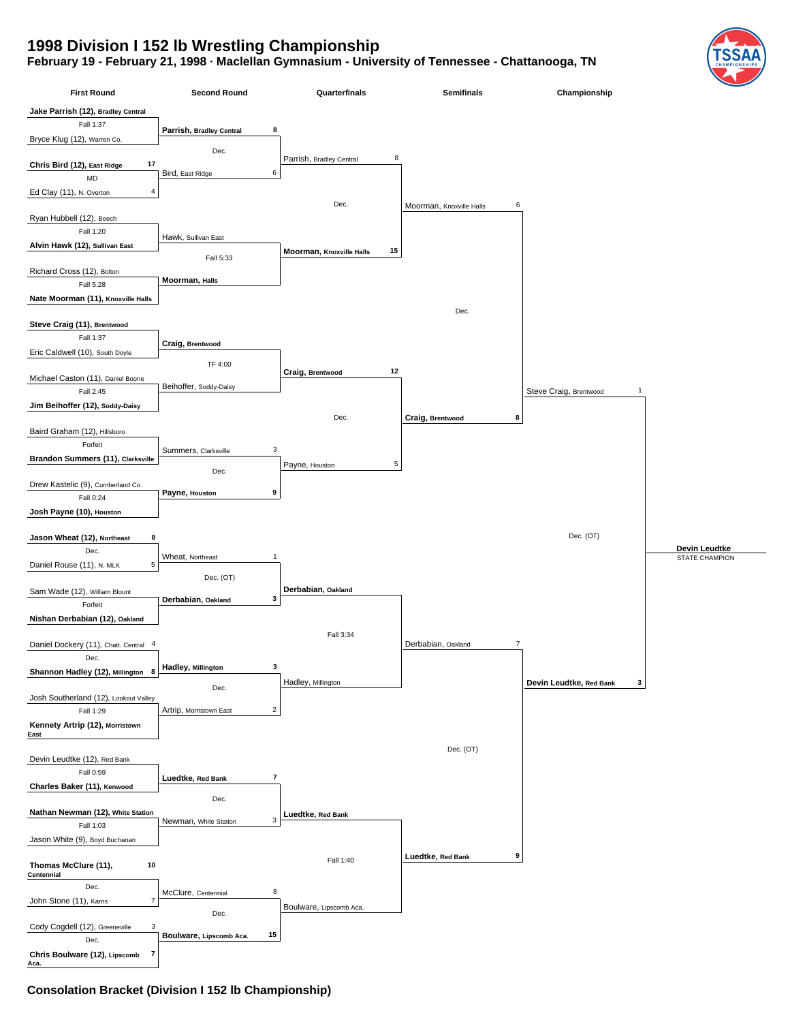## **1998 Division I 152 lb Wrestling Championship**

## **February 19 - February 21, 1998 · Maclellan Gymnasium - University of Tennessee - Chattanooga, TN**



## **Consolation Bracket (Division I 152 lb Championship)**